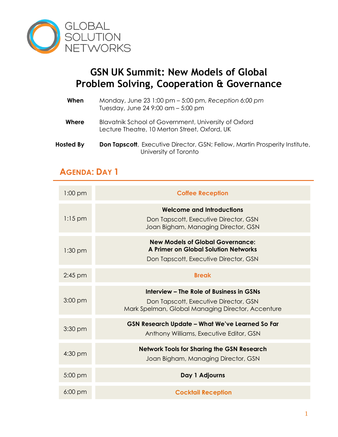

## **GSN UK Summit: New Models of Global Problem Solving, Cooperation & Governance**

- **When** Monday, June 23 1:00 pm 5:00 pm, *Reception 6:00 pm* Tuesday, June 24 9:00 am – 5:00 pm
- **Where** Blavatnik School of Government, University of Oxford Lecture Theatre, 10 Merton Street, Oxford, UK
- **Hosted By** Don Tapscott, Executive Director, GSN; Fellow, Martin Prosperity Institute, University of Toronto

## **AGENDA: DAY 1**

| $1:00$ pm         | <b>Coffee Reception</b>                                                                                                                |
|-------------------|----------------------------------------------------------------------------------------------------------------------------------------|
| $1:15$ pm         | <b>Welcome and Introductions</b><br>Don Tapscott, Executive Director, GSN<br>Joan Bigham, Managing Director, GSN                       |
| $1:30$ pm         | <b>New Models of Global Governance:</b><br>A Primer on Global Solution Networks<br>Don Tapscott, Executive Director, GSN               |
| $2:45$ pm         | <b>Break</b>                                                                                                                           |
| $3:00$ pm         | Interview – The Role of Business in GSNs<br>Don Tapscott, Executive Director, GSN<br>Mark Spelman, Global Managing Director, Accenture |
| $3:30$ pm         | GSN Research Update - What We've Learned So Far<br>Anthony Williams, Executive Editor, GSN                                             |
| 4:30 pm           | <b>Network Tools for Sharing the GSN Research</b><br>Joan Bigham, Managing Director, GSN                                               |
| $5:00$ pm         | Day 1 Adjourns                                                                                                                         |
| $6:00 \text{ pm}$ | <b>Cocktail Reception</b>                                                                                                              |